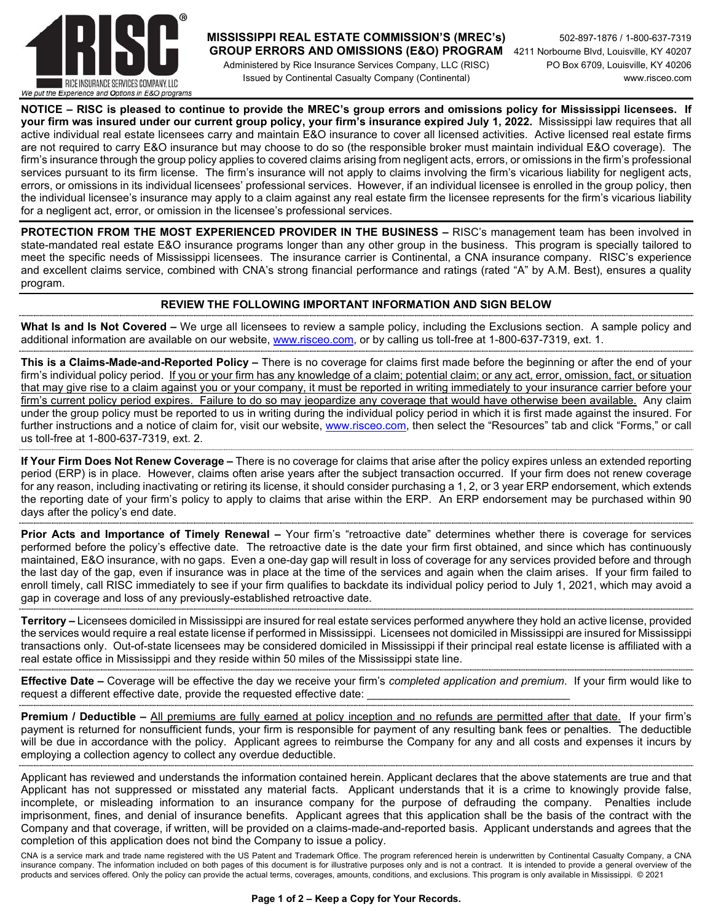

### **MISSISSIPPI REAL ESTATE COMMISSION'S (MREC's)** 502-897-1876 / 1-800-637-7319  **GROUP ERRORS AND OMISSIONS (E&O) PROGRAM** 4211 Norbourne Blvd, Louisville, KY 40207

 Administered by Rice Insurance Services Company, LLC (RISC) PO Box 6709, Louisville, KY 40206 Issued by Continental Casualty Company (Continental) www.risceo.com

**NOTICE – RISC is pleased to continue to provide the MREC's group errors and omissions policy for Mississippi licensees. If your firm was insured under our current group policy, your firm's insurance expired July 1, 2022.** Mississippi law requires that all active individual real estate licensees carry and maintain E&O insurance to cover all licensed activities. Active licensed real estate firms are not required to carry E&O insurance but may choose to do so (the responsible broker must maintain individual E&O coverage). The firm's insurance through the group policy applies to covered claims arising from negligent acts, errors, or omissions in the firm's professional services pursuant to its firm license. The firm's insurance will not apply to claims involving the firm's vicarious liability for negligent acts, errors, or omissions in its individual licensees' professional services. However, if an individual licensee is enrolled in the group policy, then the individual licensee's insurance may apply to a claim against any real estate firm the licensee represents for the firm's vicarious liability for a negligent act, error, or omission in the licensee's professional services.

**PROTECTION FROM THE MOST EXPERIENCED PROVIDER IN THE BUSINESS –** RISC's management team has been involved in state-mandated real estate E&O insurance programs longer than any other group in the business. This program is specially tailored to meet the specific needs of Mississippi licensees. The insurance carrier is Continental, a CNA insurance company. RISC's experience and excellent claims service, combined with CNA's strong financial performance and ratings (rated "A" by A.M. Best), ensures a quality program.

#### **REVIEW THE FOLLOWING IMPORTANT INFORMATION AND SIGN BELOW**

**What Is and Is Not Covered –** We urge all licensees to review a sample policy, including the Exclusions section. A sample policy and additional information are available on our website, www.risceo.com, or by calling us toll-free at 1-800-637-7319, ext. 1.

**This is a Claims-Made-and-Reported Policy –** There is no coverage for claims first made before the beginning or after the end of your firm's individual policy period. If you or your firm has any knowledge of a claim; potential claim; or any act, error, omission, fact, or situation that may give rise to a claim against you or your company, it must be reported in writing immediately to your insurance carrier before your firm's current policy period expires. Failure to do so may jeopardize any coverage that would have otherwise been available. Any claim under the group policy must be reported to us in writing during the individual policy period in which it is first made against the insured. For further instructions and a notice of claim for, visit our website, www.risceo.com, then select the "Resources" tab and click "Forms," or call us toll-free at 1-800-637-7319, ext. 2.

**If Your Firm Does Not Renew Coverage –** There is no coverage for claims that arise after the policy expires unless an extended reporting period (ERP) is in place. However, claims often arise years after the subject transaction occurred. If your firm does not renew coverage for any reason, including inactivating or retiring its license, it should consider purchasing a 1, 2, or 3 year ERP endorsement, which extends the reporting date of your firm's policy to apply to claims that arise within the ERP. An ERP endorsement may be purchased within 90 days after the policy's end date.

**Prior Acts and Importance of Timely Renewal –** Your firm's "retroactive date" determines whether there is coverage for services performed before the policy's effective date. The retroactive date is the date your firm first obtained, and since which has continuously maintained, E&O insurance, with no gaps. Even a one-day gap will result in loss of coverage for any services provided before and through the last day of the gap, even if insurance was in place at the time of the services and again when the claim arises. If your firm failed to enroll timely, call RISC immediately to see if your firm qualifies to backdate its individual policy period to July 1, 2021, which may avoid a gap in coverage and loss of any previously-established retroactive date.

**Territory –** Licensees domiciled in Mississippi are insured for real estate services performed anywhere they hold an active license, provided the services would require a real estate license if performed in Mississippi. Licensees not domiciled in Mississippi are insured for Mississippi transactions only. Out-of-state licensees may be considered domiciled in Mississippi if their principal real estate license is affiliated with a real estate office in Mississippi and they reside within 50 miles of the Mississippi state line.

**Effective Date –** Coverage will be effective the day we receive your firm's *completed application and premium*. If your firm would like to request a different effective date, provide the requested effective date:

**Premium / Deductible –** All premiums are fully earned at policy inception and no refunds are permitted after that date. If your firm's payment is returned for nonsufficient funds, your firm is responsible for payment of any resulting bank fees or penalties. The deductible will be due in accordance with the policy. Applicant agrees to reimburse the Company for any and all costs and expenses it incurs by employing a collection agency to collect any overdue deductible.

Applicant has reviewed and understands the information contained herein. Applicant declares that the above statements are true and that Applicant has not suppressed or misstated any material facts. Applicant understands that it is a crime to knowingly provide false, incomplete, or misleading information to an insurance company for the purpose of defrauding the company. Penalties include imprisonment, fines, and denial of insurance benefits. Applicant agrees that this application shall be the basis of the contract with the Company and that coverage, if written, will be provided on a claims-made-and-reported basis. Applicant understands and agrees that the completion of this application does not bind the Company to issue a policy.

CNA is a service mark and trade name registered with the US Patent and Trademark Office. The program referenced herein is underwritten by Continental Casualty Company, a CNA insurance company. The information included on both pages of this document is for illustrative purposes only and is not a contract. It is intended to provide a general overview of the products and services offered. Only the policy can provide the actual terms, coverages, amounts, conditions, and exclusions. This program is only available in Mississippi. © 2021